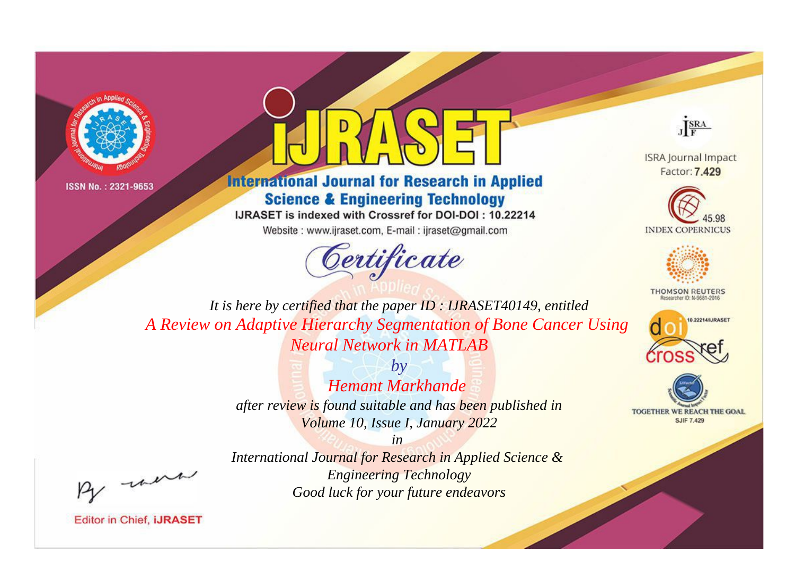



**International Journal for Research in Applied Science & Engineering Technology** 

IJRASET is indexed with Crossref for DOI-DOI: 10.22214

Website: www.ijraset.com, E-mail: ijraset@gmail.com





**ISRA Journal Impact** Factor: 7.429





**THOMSON REUTERS** 



TOGETHER WE REACH THE GOAL **SJIF 7.429** 

*It is here by certified that the paper ID : IJRASET40149, entitled A Review on Adaptive Hierarchy Segmentation of Bone Cancer Using Neural Network in MATLAB*

> *by Hemant Markhande after review is found suitable and has been published in Volume 10, Issue I, January 2022*

, un

*International Journal for Research in Applied Science & Engineering Technology Good luck for your future endeavors*

*in*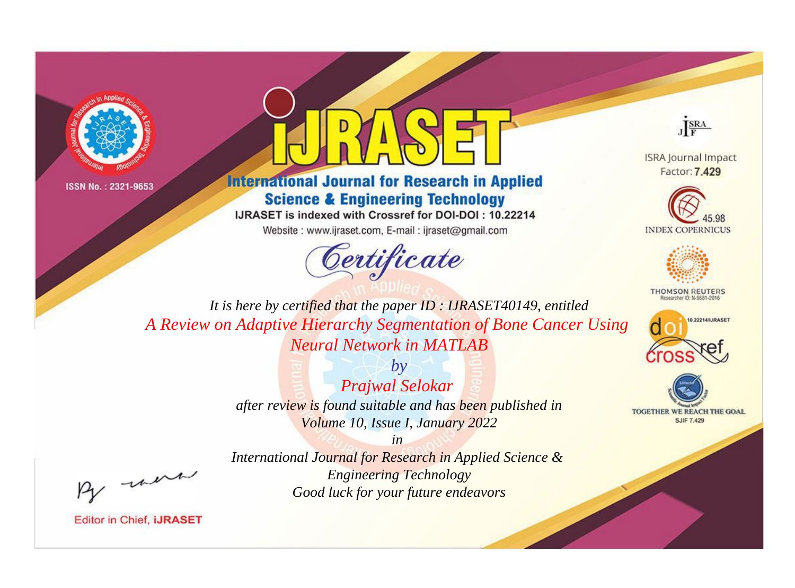



**International Journal for Research in Applied Science & Engineering Technology** 

IJRASET is indexed with Crossref for DOI-DOI: 10.22214

Website: www.ijraset.com, E-mail: ijraset@gmail.com





**ISRA Journal Impact** Factor: 7.429





**THOMSON REUTERS** 



TOGETHER WE REACH THE GOAL **SJIF 7.429** 

*It is here by certified that the paper ID : IJRASET40149, entitled A Review on Adaptive Hierarchy Segmentation of Bone Cancer Using Neural Network in MATLAB*

> *Prajwal Selokar after review is found suitable and has been published in Volume 10, Issue I, January 2022*

> > *in*

*by*

*International Journal for Research in Applied Science & Engineering Technology Good luck for your future endeavors*

, un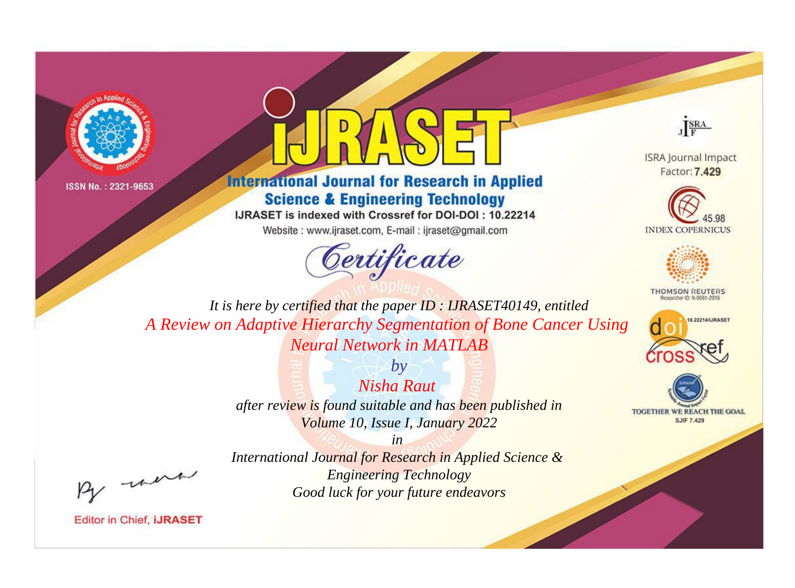



**International Journal for Research in Applied Science & Engineering Technology** 

IJRASET is indexed with Crossref for DOI-DOI: 10.22214

Website: www.ijraset.com, E-mail: ijraset@gmail.com





**ISRA Journal Impact** Factor: 7.429





**THOMSON REUTERS** 



TOGETHER WE REACH THE GOAL **SJIF 7.429** 

*It is here by certified that the paper ID : IJRASET40149, entitled A Review on Adaptive Hierarchy Segmentation of Bone Cancer Using Neural Network in MATLAB*

> *Nisha Raut after review is found suitable and has been published in Volume 10, Issue I, January 2022*

*by*

, un

*International Journal for Research in Applied Science & Engineering Technology Good luck for your future endeavors*

*in*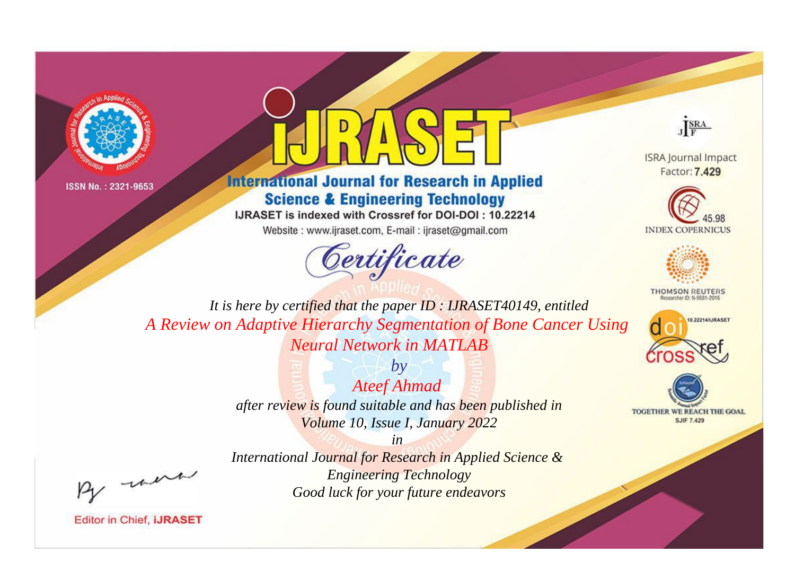



## **International Journal for Research in Applied Science & Engineering Technology**

IJRASET is indexed with Crossref for DOI-DOI: 10.22214

Website: www.ijraset.com, E-mail: ijraset@gmail.com





**ISRA Journal Impact** Factor: 7.429





**THOMSON REUTERS** 



TOGETHER WE REACH THE GOAL **SJIF 7.429** 

*It is here by certified that the paper ID : IJRASET40149, entitled A Review on Adaptive Hierarchy Segmentation of Bone Cancer Using Neural Network in MATLAB*

> *Ateef Ahmad after review is found suitable and has been published in Volume 10, Issue I, January 2022*

*by*

, un

*International Journal for Research in Applied Science & Engineering Technology Good luck for your future endeavors*

*in*